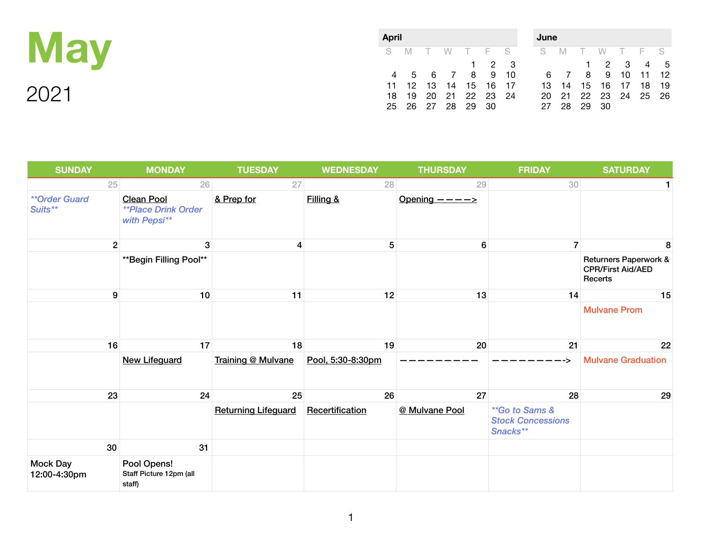

| <b>April</b> |     |    |                   |       |             |  | June          |     |                |                      |    |       |     |
|--------------|-----|----|-------------------|-------|-------------|--|---------------|-----|----------------|----------------------|----|-------|-----|
|              |     |    | S M T W T F S     |       |             |  | S M T W T F S |     |                |                      |    |       |     |
|              |     |    |                   |       | $1 \t2 \t3$ |  |               |     |                | 1 2 3 4              |    |       | - 5 |
|              |     |    | 5 6 7 8 9 10      |       |             |  |               | 6 7 | 8 <sup>8</sup> | 9                    | 10 | 11 12 |     |
| 11           |     |    | 12 13 14 15 16 17 |       |             |  | 13.           | 14  |                | 15 16 17 18          |    |       | -19 |
| 18.          |     |    | 19 20 21 22 23 24 |       |             |  |               |     |                | 20 21 22 23 24 25 26 |    |       |     |
| 25           | 26. | 27 |                   | 28 29 | -30         |  | 27            | 28  | 29             | -30                  |    |       |     |

| <b>SUNDAY</b>                   | <b>MONDAY</b>                                                   | <b>TUESDAY</b>             | <b>WEDNESDAY</b>  | <b>THURSDAY</b>           | <b>FRIDAY</b>                                          | <b>SATURDAY</b>                                              |
|---------------------------------|-----------------------------------------------------------------|----------------------------|-------------------|---------------------------|--------------------------------------------------------|--------------------------------------------------------------|
| 25                              | 26                                                              | 27                         | 28                | 29                        | 30                                                     |                                                              |
| <b>**Order Guard</b><br>Suits** | <b>Clean Pool</b><br><b>**Place Drink Order</b><br>with Pepsi** | & Prep for                 | Filling &         | Opening $--- \rightarrow$ |                                                        |                                                              |
| 2                               | 3                                                               | 4                          | $5\phantom{.0}$   | 6                         | $\overline{7}$                                         | 8                                                            |
|                                 | ** Begin Filling Pool**                                         |                            |                   |                           |                                                        | Returners Paperwork &<br><b>CPR/First Aid/AED</b><br>Recerts |
| 9                               | 10                                                              | 11                         | 12                | 13                        | 14                                                     | 15                                                           |
|                                 |                                                                 |                            |                   |                           |                                                        | <b>Mulvane Prom</b>                                          |
| 16                              | 17                                                              | 18                         | 19                | 20                        | 21                                                     | 22                                                           |
|                                 | <b>New Lifeguard</b>                                            | Training @ Mulvane         | Pool, 5:30-8:30pm |                           |                                                        | <b>Mulvane Graduation</b>                                    |
| 23                              | 24                                                              | 25                         | 26                | 27                        | 28                                                     | 29                                                           |
|                                 |                                                                 | <b>Returning Lifeguard</b> | Recertification   | @ Mulvane Pool            | **Go to Sams &<br><b>Stock Concessions</b><br>Snacks** |                                                              |
| 30                              | 31                                                              |                            |                   |                           |                                                        |                                                              |
| <b>Mock Day</b><br>12:00-4:30pm | Pool Opens!<br>Staff Picture 12pm (all<br>staff)                |                            |                   |                           |                                                        |                                                              |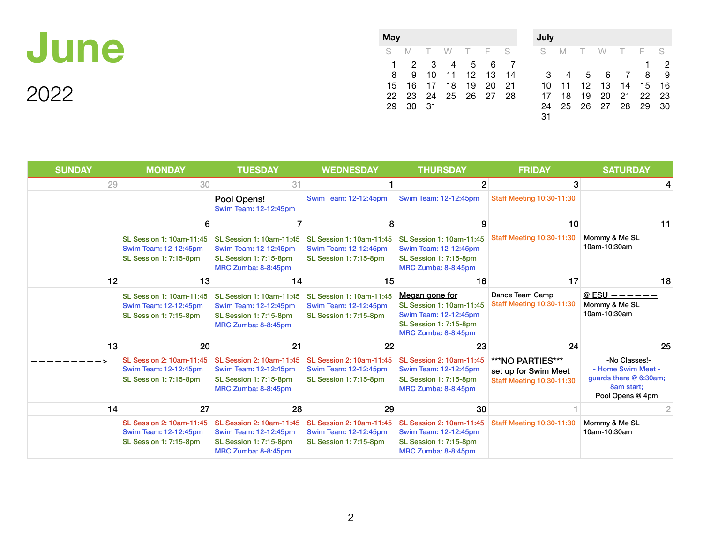

2022

| May |    |      |                   |     |       |        |   |  |  |  |  |
|-----|----|------|-------------------|-----|-------|--------|---|--|--|--|--|
| S   | M  |      | T W T F           |     |       | $^-$ S | S |  |  |  |  |
| 1.  | 2  | - 3  |                   | 4 5 | 6     |        |   |  |  |  |  |
| 8   | 9  |      | 10 11 12 13       |     |       | 14     |   |  |  |  |  |
| 15  | 16 |      | 17 18             |     | 19 20 | 21     |   |  |  |  |  |
| 22  |    |      | 23 24 25 26 27 28 |     |       |        | 1 |  |  |  |  |
| 29  | 30 | - 31 |                   |     |       |        | 2 |  |  |  |  |
|     |    |      |                   |     |       |        | 3 |  |  |  |  |

| July |    |    |    |                |     |    |
|------|----|----|----|----------------|-----|----|
| S    | M  | T. | W  | Т.             | - F | S  |
|      |    |    |    |                | 1   | 2  |
| 3    | 4  | 5  | 6  | $\overline{7}$ | 8   | 9  |
| 10   | 11 | 12 | 13 | 14             | 15  | 16 |
| 17   | 18 | 19 | 20 | 21             | 22  | 23 |
| 24   | 25 | 26 | 27 | 28             | 29  | 30 |
| 31   |    |    |    |                |     |    |

| <b>SUNDAY</b> | <b>MONDAY</b>                                                                      | <b>TUESDAY</b>                                                                                            | <b>WEDNESDAY</b>                                                                   | <b>THURSDAY</b>                                                                                                             | <b>FRIDAY</b>                                                                | <b>SATURDAY</b>                                                                                 |
|---------------|------------------------------------------------------------------------------------|-----------------------------------------------------------------------------------------------------------|------------------------------------------------------------------------------------|-----------------------------------------------------------------------------------------------------------------------------|------------------------------------------------------------------------------|-------------------------------------------------------------------------------------------------|
| 29            | 30                                                                                 | 31                                                                                                        |                                                                                    | $\mathbf{2}$                                                                                                                | 3                                                                            |                                                                                                 |
|               |                                                                                    | Pool Opens!<br>Swim Team: 12-12:45pm                                                                      | Swim Team: 12-12:45pm                                                              | Swim Team: 12-12:45pm                                                                                                       | <b>Staff Meeting 10:30-11:30</b>                                             |                                                                                                 |
|               |                                                                                    |                                                                                                           | 8                                                                                  | 9                                                                                                                           | 10                                                                           | 11                                                                                              |
|               | SL Session 1: 10am-11:45<br>Swim Team: 12-12:45pm<br><b>SL Session 1: 7:15-8pm</b> | SL Session 1: 10am-11:45<br>Swim Team: 12-12:45pm<br><b>SL Session 1: 7:15-8pm</b><br>MRC Zumba: 8-8:45pm | SL Session 1: 10am-11:45<br>Swim Team: 12-12:45pm<br><b>SL Session 1: 7:15-8pm</b> | <b>SL Session 1: 10am-11:45</b><br>Swim Team: 12-12:45pm<br><b>SL Session 1: 7:15-8pm</b><br>MRC Zumba: 8-8:45pm            | <b>Staff Meeting 10:30-11:30</b>                                             | Mommy & Me SL<br>10am-10:30am                                                                   |
| 12            | 13                                                                                 | 14                                                                                                        | 15                                                                                 | 16                                                                                                                          | 17                                                                           | 18                                                                                              |
|               | SL Session 1: 10am-11:45<br>Swim Team: 12-12:45pm<br><b>SL Session 1: 7:15-8pm</b> | SL Session 1: 10am-11:45<br>Swim Team: 12-12:45pm<br><b>SL Session 1: 7:15-8pm</b><br>MRC Zumba: 8-8:45pm | SL Session 1: 10am-11:45<br>Swim Team: 12-12:45pm<br><b>SL Session 1: 7:15-8pm</b> | Megan gone for<br>SL Session 1: 10am-11:45<br>Swim Team: 12-12:45pm<br><b>SL Session 1: 7:15-8pm</b><br>MRC Zumba: 8-8:45pm | Dance Team Camp<br><b>Staff Meeting 10:30-11:30</b>                          | @ ESU $-- ---$<br>Mommy & Me SL<br>10am-10:30am                                                 |
| 13            | 20                                                                                 | 21                                                                                                        | 22                                                                                 | 23                                                                                                                          | 24                                                                           | 25                                                                                              |
|               | SL Session 2: 10am-11:45<br>Swim Team: 12-12:45pm<br><b>SL Session 1: 7:15-8pm</b> | SL Session 2: 10am-11:45<br>Swim Team: 12-12:45pm<br><b>SL Session 1: 7:15-8pm</b><br>MRC Zumba: 8-8:45pm | SL Session 2: 10am-11:45<br>Swim Team: 12-12:45pm<br><b>SL Session 1: 7:15-8pm</b> | SL Session 2: 10am-11:45<br>Swim Team: 12-12:45pm<br><b>SL Session 1: 7:15-8pm</b><br>MRC Zumba: 8-8:45pm                   | ***NO PARTIES***<br>set up for Swim Meet<br><b>Staff Meeting 10:30-11:30</b> | -No Classes!-<br>- Home Swim Meet -<br>guards there @ 6:30am;<br>8am start;<br>Pool Opens @ 4pm |
| 14            | 27                                                                                 | 28                                                                                                        | 29                                                                                 | 30                                                                                                                          |                                                                              | 2                                                                                               |
|               | SL Session 2: 10am-11:45<br>Swim Team: 12-12:45pm<br><b>SL Session 1: 7:15-8pm</b> | SL Session 2: 10am-11:45<br>Swim Team: 12-12:45pm<br><b>SL Session 1: 7:15-8pm</b><br>MRC Zumba: 8-8:45pm | SL Session 2: 10am-11:45<br>Swim Team: 12-12:45pm<br><b>SL Session 1: 7:15-8pm</b> | SL Session 2: 10am-11:45<br>Swim Team: 12-12:45pm<br>SL Session 1: 7:15-8pm<br>MRC Zumba: 8-8:45pm                          | <b>Staff Meeting 10:30-11:30</b>                                             | Mommy & Me SL<br>10am-10:30am                                                                   |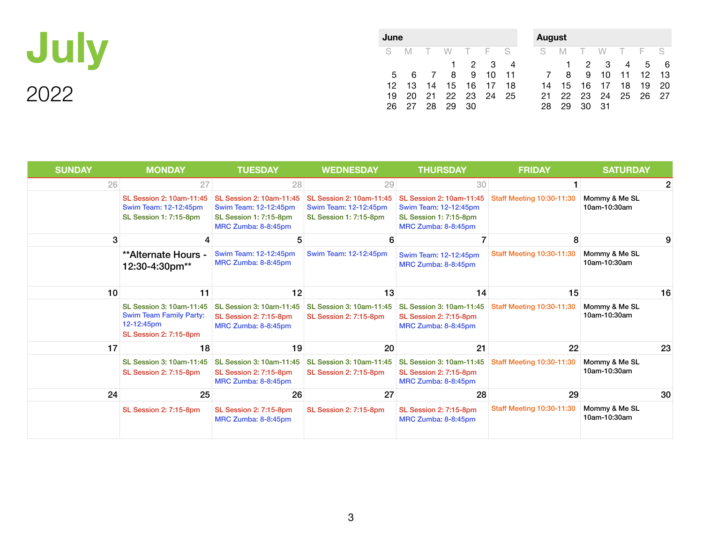

| June |    |    |                |          |             |    | <b>August</b> |             |    |             |       |                 |     |
|------|----|----|----------------|----------|-------------|----|---------------|-------------|----|-------------|-------|-----------------|-----|
| S.   | M  |    | W              | T F S    |             |    | - S           | M           |    | W           | T F S |                 |     |
|      |    |    | $\blacksquare$ |          | $2 \quad 3$ | -4 |               | $\mathbf 1$ |    | $2 \quad 3$ | -4    | 5               | - 6 |
| 5    | 6  | 7  | 8              | 9        | 10          | 11 | 7             | 8           | 9  | 10          | 11    | 12 <sup>°</sup> | 13  |
| 12   | 13 | 14 | 15             | 16       | - 17        | 18 | 14            | 15          | 16 | 17          | 18    | 19              | -20 |
| 19   | 20 | 21 |                | 22 23 24 |             | 25 | 21            | 22.         | 23 | 24          | 25    | 26              | 27  |
| 26   | 27 | 28 | 29             | 30       |             |    | 28            | 29          | 30 | -31         |       |                 |     |
|      |    |    |                |          |             |    |               |             |    |             |       |                 |     |

| <b>SUNDAY</b> | <b>MONDAY</b>                                                                                             | <b>TUESDAY</b>                                                                                            | <b>WEDNESDAY</b>                                                                   | <b>THURSDAY</b>                                                                                           | <b>FRIDAY</b>                    | <b>SATURDAY</b>               |    |
|---------------|-----------------------------------------------------------------------------------------------------------|-----------------------------------------------------------------------------------------------------------|------------------------------------------------------------------------------------|-----------------------------------------------------------------------------------------------------------|----------------------------------|-------------------------------|----|
| 26            | 27                                                                                                        | 28                                                                                                        | 29                                                                                 | 30                                                                                                        |                                  |                               | 2  |
|               | SL Session 2: 10am-11:45<br>Swim Team: 12-12:45pm<br>SL Session 1: 7:15-8pm                               | SL Session 2: 10am-11:45<br>Swim Team: 12-12:45pm<br><b>SL Session 1: 7:15-8pm</b><br>MRC Zumba: 8-8:45pm | SL Session 2: 10am-11:45<br>Swim Team: 12-12:45pm<br><b>SL Session 1: 7:15-8pm</b> | SL Session 2: 10am-11:45<br>Swim Team: 12-12:45pm<br><b>SL Session 1: 7:15-8pm</b><br>MRC Zumba: 8-8:45pm | <b>Staff Meeting 10:30-11:30</b> | Mommy & Me SL<br>10am-10:30am |    |
| 3             |                                                                                                           | 5                                                                                                         | 6                                                                                  |                                                                                                           | 8                                |                               | 9  |
|               | **Alternate Hours -<br>12:30-4:30pm**                                                                     | Swim Team: 12-12:45pm<br>MRC Zumba: 8-8:45pm                                                              | Swim Team: 12-12:45pm                                                              | Swim Team: 12-12:45pm<br>MRC Zumba: 8-8:45pm                                                              | <b>Staff Meeting 10:30-11:30</b> | Mommy & Me SL<br>10am-10:30am |    |
| 10            | 11                                                                                                        | 12                                                                                                        | 13                                                                                 | 14                                                                                                        | 15                               |                               | 16 |
|               | SL Session 3: 10am-11:45<br><b>Swim Team Family Party:</b><br>12-12:45pm<br><b>SL Session 2: 7:15-8pm</b> | SL Session 3: 10am-11:45<br><b>SL Session 2: 7:15-8pm</b><br>MRC Zumba: 8-8:45pm                          | SL Session 3: 10am-11:45<br><b>SL Session 2: 7:15-8pm</b>                          | SL Session 3: 10am-11:45<br><b>SL Session 2: 7:15-8pm</b><br>MRC Zumba: 8-8:45pm                          | <b>Staff Meeting 10:30-11:30</b> | Mommy & Me SL<br>10am-10:30am |    |
| 17            | 18                                                                                                        | 19                                                                                                        | 20                                                                                 | 21                                                                                                        | 22                               |                               | 23 |
|               | SL Session 3: 10am-11:45<br><b>SL Session 2: 7:15-8pm</b>                                                 | SL Session 3: 10am-11:45<br><b>SL Session 2: 7:15-8pm</b><br>MRC Zumba: 8-8:45pm                          | SL Session 3: 10am-11:45<br><b>SL Session 2: 7:15-8pm</b>                          | SL Session 3: 10am-11:45<br><b>SL Session 2: 7:15-8pm</b><br>MRC Zumba: 8-8:45pm                          | <b>Staff Meeting 10:30-11:30</b> | Mommy & Me SL<br>10am-10:30am |    |
| 24            | 25                                                                                                        | 26                                                                                                        | 27                                                                                 | 28                                                                                                        | 29                               |                               | 30 |
|               | <b>SL Session 2: 7:15-8pm</b>                                                                             | <b>SL Session 2: 7:15-8pm</b><br>MRC Zumba: 8-8:45pm                                                      | <b>SL Session 2: 7:15-8pm</b>                                                      | <b>SL Session 2: 7:15-8pm</b><br>MRC Zumba: 8-8:45pm                                                      | <b>Staff Meeting 10:30-11:30</b> | Mommy & Me SL<br>10am-10:30am |    |